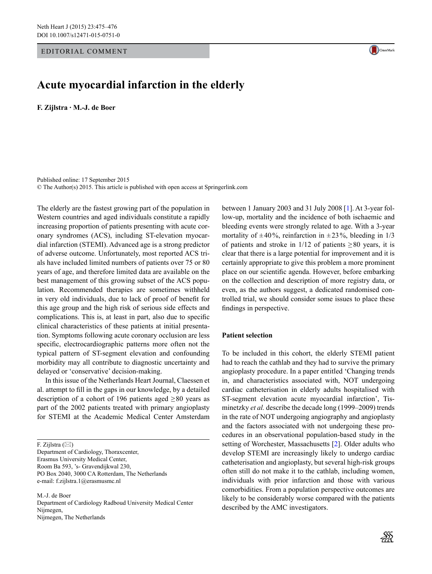#### Editorial Comment



**F. Zijlstra · M.-J. de Boer**



Published online: 17 September 2015 © The Author(s) 2015. This article is published with open access at Springerlink.com

The elderly are the fastest growing part of the population in Western countries and aged individuals constitute a rapidly increasing proportion of patients presenting with acute coronary syndromes (ACS), including ST-elevation myocardial infarction (STEMI). Advanced age is a strong predictor of adverse outcome. Unfortunately, most reported ACS trials have included limited numbers of patients over 75 or 80 years of age, and therefore limited data are available on the best management of this growing subset of the ACS population. Recommended therapies are sometimes withheld in very old individuals, due to lack of proof of benefit for this age group and the high risk of serious side effects and complications. This is, at least in part, also due to specific clinical characteristics of these patients at initial presentation. Symptoms following acute coronary occlusion are less specific, electrocardiographic patterns more often not the typical pattern of ST-segment elevation and confounding morbidity may all contribute to diagnostic uncertainty and delayed or 'conservative' decision-making.

In this issue of the Netherlands Heart Journal, Claessen et al. attempt to fill in the gaps in our knowledge, by a detailed description of a cohort of 196 patients aged  $\geq 80$  years as part of the 2002 patients treated with primary angioplasty for STEMI at the Academic Medical Center Amsterdam

F. Zijlstra  $(\boxtimes)$ 

Department of Cardiology, Thoraxcenter, Erasmus University Medical Center, Room Ba 593, 's- Gravendijkwal 230, PO Box 2040, 3000 CA Rotterdam, The Netherlands e-mail: f.zijlstra.1@erasmusmc.nl

M.-J. de Boer Department of Cardiology Radboud University Medical Center Nijmegen, Nijmegen, The Netherlands

between 1 January 2003 and 31 July 2008 [\[1](#page-1-0)]. At 3-year follow-up, mortality and the incidence of both ischaemic and bleeding events were strongly related to age. With a 3-year mortality of  $\pm 40\%$ , reinfarction in  $\pm 23\%$ , bleeding in 1/3 of patients and stroke in  $1/12$  of patients  $\geq 80$  years, it is clear that there is a large potential for improvement and it is certainly appropriate to give this problem a more prominent place on our scientific agenda. However, before embarking on the collection and description of more registry data, or even, as the authors suggest, a dedicated randomised controlled trial, we should consider some issues to place these findings in perspective.

# **Patient selection**

To be included in this cohort, the elderly STEMI patient had to reach the cathlab and they had to survive the primary angioplasty procedure. In a paper entitled 'Changing trends in, and characteristics associated with, NOT undergoing cardiac catheterisation in elderly adults hospitalised with ST-segment elevation acute myocardial infarction', Tisminetzky *et al.* describe the decade long (1999–2009) trends in the rate of NOT undergoing angiography and angioplasty and the factors associated with not undergoing these procedures in an observational population-based study in the setting of Worchester, Massachusetts [[2\]](#page-1-1). Older adults who develop STEMI are increasingly likely to undergo cardiac catheterisation and angioplasty, but several high-risk groups often still do not make it to the cathlab, including women, individuals with prior infarction and those with various comorbidities. From a population perspective outcomes are likely to be considerably worse compared with the patients described by the AMC investigators.